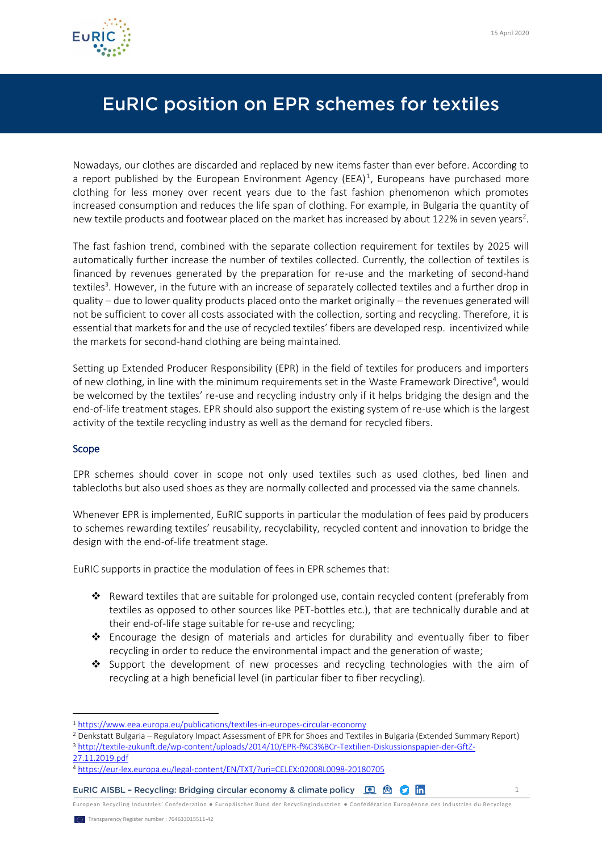

## **EURIC position on EPR schemes for textiles**

Nowadays, our clothes are discarded and replaced by new items faster than ever before. According to a report published by the European Environment Agency (EEA)<sup>1</sup>, Europeans have purchased more clothing for less money over recent years due to the fast fashion phenomenon which promotes increased consumption and reduces the life span of clothing. For example, in Bulgaria the quantity of new textile products and footwear placed on the market has increased by about 122% in seven years<sup>2</sup>.

The fast fashion trend, combined with the separate collection requirement for textiles by 2025 will automatically further increase the number of textiles collected. Currently, the collection of textiles is financed by revenues generated by the preparation for re-use and the marketing of second-hand textiles<sup>3</sup>. However, in the future with an increase of separately collected textiles and a further drop in quality – due to lower quality products placed onto the market originally – the revenues generated will not be sufficient to cover all costs associated with the collection, sorting and recycling. Therefore, it is essential that markets for and the use of recycled textiles' fibers are developed resp. incentivized while the markets for second-hand clothing are being maintained.

Setting up Extended Producer Responsibility (EPR) in the field of textiles for producers and importers of new clothing, in line with the minimum requirements set in the Waste Framework Directive<sup>4</sup>, would be welcomed by the textiles' re-use and recycling industry only if it helps bridging the design and the end-of-life treatment stages. EPR should also support the existing system of re-use which is the largest activity of the textile recycling industry as well as the demand for recycled fibers.

## Scope

EPR schemes should cover in scope not only used textiles such as used clothes, bed linen and tablecloths but also used shoes as they are normally collected and processed via the same channels.

Whenever EPR is implemented, EuRIC supports in particular the modulation of fees paid by producers to schemes rewarding textiles' reusability, recyclability, recycled content and innovation to bridge the design with the end-of-life treatment stage.

EuRIC supports in practice the modulation of fees in EPR schemes that:

- ❖ Reward textiles that are suitable for prolonged use, contain recycled content (preferably from textiles as opposed to other sources like PET-bottles etc.), that are technically durable and at their end-of-life stage suitable for re-use and recycling;
- ❖ Encourage the design of materials and articles for durability and eventually fiber to fiber recycling in order to reduce the environmental impact and the generation of waste;
- ❖ Support the development of new processes and recycling technologies with the aim of recycling at a high beneficial level (in particular fiber to fiber recycling).

[27.11.2019.pdf](http://textile-zukunft.de/wp-content/uploads/2014/10/EPR-f%C3%BCr-Textilien-Diskussionspapier-der-GftZ-27.11.2019.pdf)

## **EURIC AISBL - Recycling: Bridging circular economy & climate policy**  $\Box$  **B B C**  $\Box$

European Recycling Industries' Confederation ● Europäischer Bund der Recyclingindustrien ● Confédération Européenne des Industries du Recyclage

<sup>1</sup> <https://www.eea.europa.eu/publications/textiles-in-europes-circular-economy>

<sup>2</sup> Denkstatt Bulgaria – Regulatory Impact Assessment of EPR for Shoes and Textiles in Bulgaria (Extended Summary Report) <sup>3</sup> [http://textile-zukunft.de/wp-content/uploads/2014/10/EPR-f%C3%BCr-Textilien-Diskussionspapier-der-GftZ-](http://textile-zukunft.de/wp-content/uploads/2014/10/EPR-f%C3%BCr-Textilien-Diskussionspapier-der-GftZ-27.11.2019.pdf)

<sup>4</sup> <https://eur-lex.europa.eu/legal-content/EN/TXT/?uri=CELEX:02008L0098-20180705>